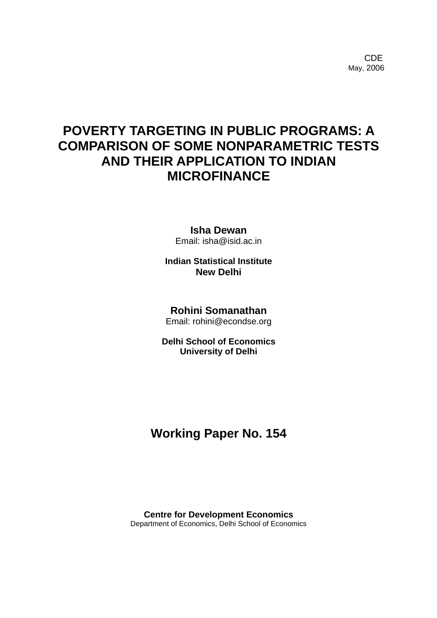**CDE COLLECTION** May, 2006

# **POVERTY TARGETING IN PUBLIC PROGRAMS: A COMPARISON OF SOME NONPARAMETRIC TESTS AND THEIR APPLICATION TO INDIAN MICROFINANCE**

**Isha Dewan**  Email: isha@isid.ac.in

**Indian Statistical Institute New Delhi** 

#### **Rohini Somanathan**

Email: rohini@econdse.org

**Delhi School of Economics University of Delhi** 

## **Working Paper No. 154**

**Centre for Development Economics**  Department of Economics, Delhi School of Economics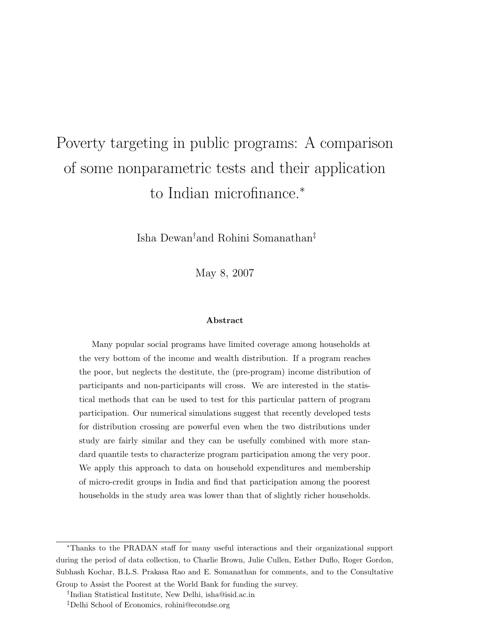# Poverty targeting in public programs: A comparison of some nonparametric tests and their application to Indian microfinance.<sup>∗</sup>

Isha Dewan†and Rohini Somanathan‡

May 8, 2007

#### Abstract

Many popular social programs have limited coverage among households at the very bottom of the income and wealth distribution. If a program reaches the poor, but neglects the destitute, the (pre-program) income distribution of participants and non-participants will cross. We are interested in the statistical methods that can be used to test for this particular pattern of program participation. Our numerical simulations suggest that recently developed tests for distribution crossing are powerful even when the two distributions under study are fairly similar and they can be usefully combined with more standard quantile tests to characterize program participation among the very poor. We apply this approach to data on household expenditures and membership of micro-credit groups in India and find that participation among the poorest households in the study area was lower than that of slightly richer households.

<sup>∗</sup>Thanks to the PRADAN staff for many useful interactions and their organizational support during the period of data collection, to Charlie Brown, Julie Cullen, Esther Duflo, Roger Gordon, Subhash Kochar, B.L.S. Prakasa Rao and E. Somanathan for comments, and to the Consultative

Group to Assist the Poorest at the World Bank for funding the survey.

<sup>†</sup> Indian Statistical Institute, New Delhi, isha@isid.ac.in

<sup>‡</sup>Delhi School of Economics, rohini@econdse.org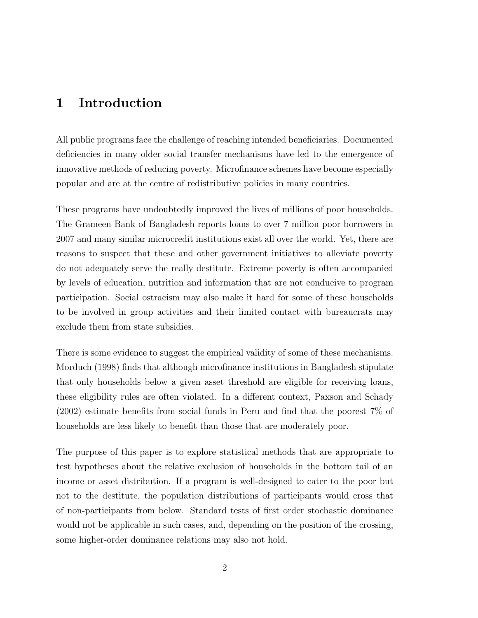#### 1 Introduction

All public programs face the challenge of reaching intended beneficiaries. Documented deficiencies in many older social transfer mechanisms have led to the emergence of innovative methods of reducing poverty. Microfinance schemes have become especially popular and are at the centre of redistributive policies in many countries.

These programs have undoubtedly improved the lives of millions of poor households. The Grameen Bank of Bangladesh reports loans to over 7 million poor borrowers in 2007 and many similar microcredit institutions exist all over the world. Yet, there are reasons to suspect that these and other government initiatives to alleviate poverty do not adequately serve the really destitute. Extreme poverty is often accompanied by levels of education, nutrition and information that are not conducive to program participation. Social ostracism may also make it hard for some of these households to be involved in group activities and their limited contact with bureaucrats may exclude them from state subsidies.

There is some evidence to suggest the empirical validity of some of these mechanisms. Morduch (1998) finds that although microfinance institutions in Bangladesh stipulate that only households below a given asset threshold are eligible for receiving loans, these eligibility rules are often violated. In a different context, Paxson and Schady (2002) estimate benefits from social funds in Peru and find that the poorest 7% of households are less likely to benefit than those that are moderately poor.

The purpose of this paper is to explore statistical methods that are appropriate to test hypotheses about the relative exclusion of households in the bottom tail of an income or asset distribution. If a program is well-designed to cater to the poor but not to the destitute, the population distributions of participants would cross that of non-participants from below. Standard tests of first order stochastic dominance would not be applicable in such cases, and, depending on the position of the crossing, some higher-order dominance relations may also not hold.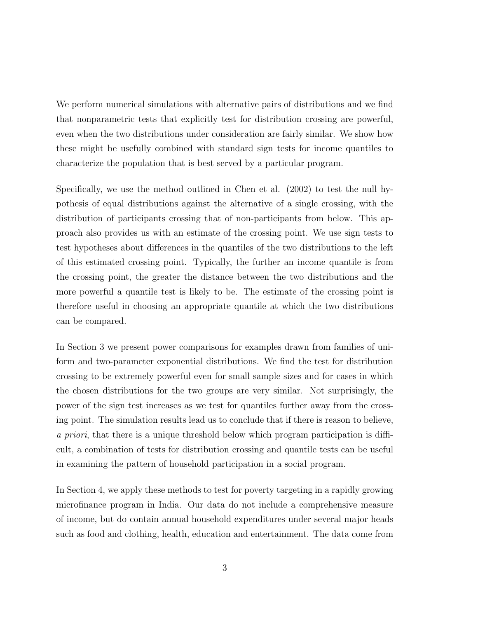We perform numerical simulations with alternative pairs of distributions and we find that nonparametric tests that explicitly test for distribution crossing are powerful, even when the two distributions under consideration are fairly similar. We show how these might be usefully combined with standard sign tests for income quantiles to characterize the population that is best served by a particular program.

Specifically, we use the method outlined in Chen et al. (2002) to test the null hypothesis of equal distributions against the alternative of a single crossing, with the distribution of participants crossing that of non-participants from below. This approach also provides us with an estimate of the crossing point. We use sign tests to test hypotheses about differences in the quantiles of the two distributions to the left of this estimated crossing point. Typically, the further an income quantile is from the crossing point, the greater the distance between the two distributions and the more powerful a quantile test is likely to be. The estimate of the crossing point is therefore useful in choosing an appropriate quantile at which the two distributions can be compared.

In Section 3 we present power comparisons for examples drawn from families of uniform and two-parameter exponential distributions. We find the test for distribution crossing to be extremely powerful even for small sample sizes and for cases in which the chosen distributions for the two groups are very similar. Not surprisingly, the power of the sign test increases as we test for quantiles further away from the crossing point. The simulation results lead us to conclude that if there is reason to believe, a priori, that there is a unique threshold below which program participation is difficult, a combination of tests for distribution crossing and quantile tests can be useful in examining the pattern of household participation in a social program.

In Section 4, we apply these methods to test for poverty targeting in a rapidly growing microfinance program in India. Our data do not include a comprehensive measure of income, but do contain annual household expenditures under several major heads such as food and clothing, health, education and entertainment. The data come from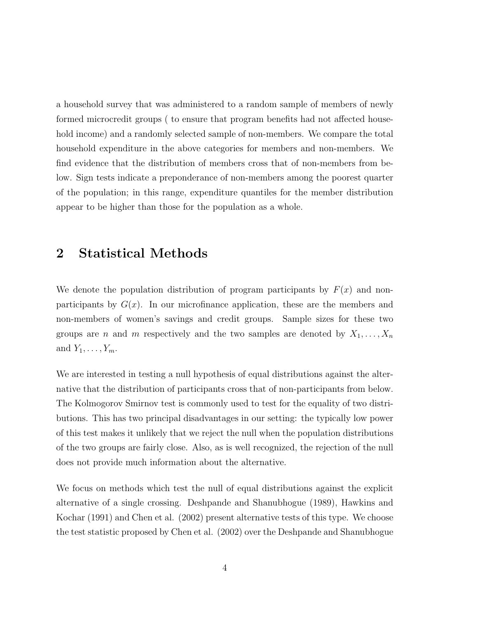a household survey that was administered to a random sample of members of newly formed microcredit groups ( to ensure that program benefits had not affected household income) and a randomly selected sample of non-members. We compare the total household expenditure in the above categories for members and non-members. We find evidence that the distribution of members cross that of non-members from below. Sign tests indicate a preponderance of non-members among the poorest quarter of the population; in this range, expenditure quantiles for the member distribution appear to be higher than those for the population as a whole.

#### 2 Statistical Methods

We denote the population distribution of program participants by  $F(x)$  and nonparticipants by  $G(x)$ . In our microfinance application, these are the members and non-members of women's savings and credit groups. Sample sizes for these two groups are n and m respectively and the two samples are denoted by  $X_1, \ldots, X_n$ and  $Y_1, \ldots, Y_m$ .

We are interested in testing a null hypothesis of equal distributions against the alternative that the distribution of participants cross that of non-participants from below. The Kolmogorov Smirnov test is commonly used to test for the equality of two distributions. This has two principal disadvantages in our setting: the typically low power of this test makes it unlikely that we reject the null when the population distributions of the two groups are fairly close. Also, as is well recognized, the rejection of the null does not provide much information about the alternative.

We focus on methods which test the null of equal distributions against the explicit alternative of a single crossing. Deshpande and Shanubhogue (1989), Hawkins and Kochar (1991) and Chen et al. (2002) present alternative tests of this type. We choose the test statistic proposed by Chen et al. (2002) over the Deshpande and Shanubhogue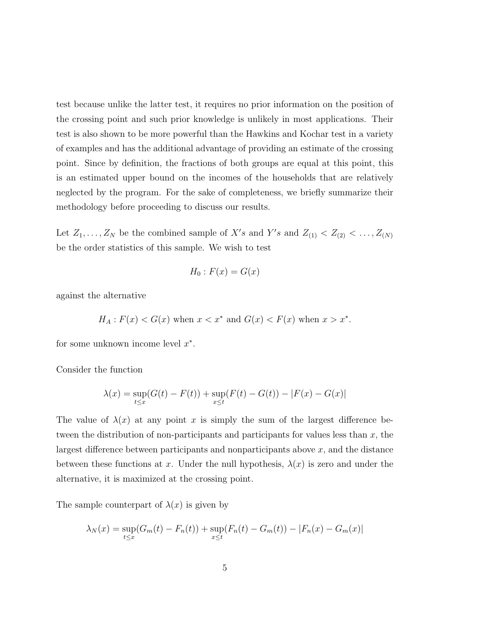test because unlike the latter test, it requires no prior information on the position of the crossing point and such prior knowledge is unlikely in most applications. Their test is also shown to be more powerful than the Hawkins and Kochar test in a variety of examples and has the additional advantage of providing an estimate of the crossing point. Since by definition, the fractions of both groups are equal at this point, this is an estimated upper bound on the incomes of the households that are relatively neglected by the program. For the sake of completeness, we briefly summarize their methodology before proceeding to discuss our results.

Let  $Z_1, \ldots, Z_N$  be the combined sample of  $X's$  and  $Y's$  and  $Z_{(1)} < Z_{(2)} < \ldots, Z_{(N)}$ be the order statistics of this sample. We wish to test

$$
H_0: F(x) = G(x)
$$

against the alternative

$$
H_A: F(x) < G(x) \text{ when } x < x^* \text{ and } G(x) < F(x) \text{ when } x > x^*.
$$

for some unknown income level  $x^*$ .

Consider the function

$$
\lambda(x) = \sup_{t \le x} (G(t) - F(t)) + \sup_{x \le t} (F(t) - G(t)) - |F(x) - G(x)|
$$

The value of  $\lambda(x)$  at any point x is simply the sum of the largest difference between the distribution of non-participants and participants for values less than  $x$ , the largest difference between participants and nonparticipants above  $x$ , and the distance between these functions at x. Under the null hypothesis,  $\lambda(x)$  is zero and under the alternative, it is maximized at the crossing point.

The sample counterpart of  $\lambda(x)$  is given by

$$
\lambda_N(x) = \sup_{t \le x} (G_m(t) - F_n(t)) + \sup_{x \le t} (F_n(t) - G_m(t)) - |F_n(x) - G_m(x)|
$$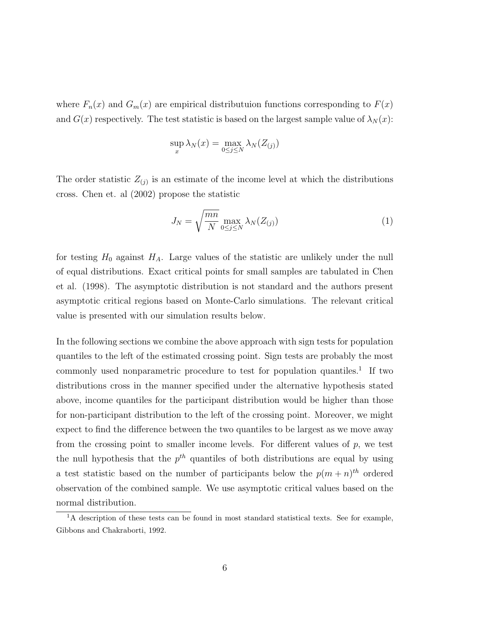where  $F_n(x)$  and  $G_m(x)$  are empirical distributuion functions corresponding to  $F(x)$ and  $G(x)$  respectively. The test statistic is based on the largest sample value of  $\lambda_N(x)$ :

$$
\sup_x \lambda_N(x) = \max_{0 \le j \le N} \lambda_N(Z_{(j)})
$$

The order statistic  $Z_{(j)}$  is an estimate of the income level at which the distributions cross. Chen et. al (2002) propose the statistic

$$
J_N = \sqrt{\frac{mn}{N}} \max_{0 \le j \le N} \lambda_N(Z_{(j)})
$$
 (1)

for testing  $H_0$  against  $H_A$ . Large values of the statistic are unlikely under the null of equal distributions. Exact critical points for small samples are tabulated in Chen et al. (1998). The asymptotic distribution is not standard and the authors present asymptotic critical regions based on Monte-Carlo simulations. The relevant critical value is presented with our simulation results below.

In the following sections we combine the above approach with sign tests for population quantiles to the left of the estimated crossing point. Sign tests are probably the most commonly used nonparametric procedure to test for population quantiles.<sup>1</sup> If two distributions cross in the manner specified under the alternative hypothesis stated above, income quantiles for the participant distribution would be higher than those for non-participant distribution to the left of the crossing point. Moreover, we might expect to find the difference between the two quantiles to be largest as we move away from the crossing point to smaller income levels. For different values of  $p$ , we test the null hypothesis that the  $p^{th}$  quantiles of both distributions are equal by using a test statistic based on the number of participants below the  $p(m+n)^{th}$  ordered observation of the combined sample. We use asymptotic critical values based on the normal distribution.

<sup>&</sup>lt;sup>1</sup>A description of these tests can be found in most standard statistical texts. See for example, Gibbons and Chakraborti, 1992.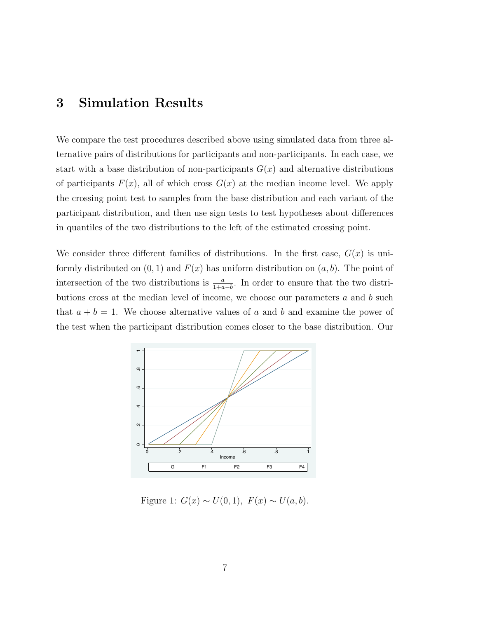## 3 Simulation Results

We compare the test procedures described above using simulated data from three alternative pairs of distributions for participants and non-participants. In each case, we start with a base distribution of non-participants  $G(x)$  and alternative distributions of participants  $F(x)$ , all of which cross  $G(x)$  at the median income level. We apply the crossing point test to samples from the base distribution and each variant of the participant distribution, and then use sign tests to test hypotheses about differences in quantiles of the two distributions to the left of the estimated crossing point.

We consider three different families of distributions. In the first case,  $G(x)$  is uniformly distributed on  $(0, 1)$  and  $F(x)$  has uniform distribution on  $(a, b)$ . The point of intersection of the two distributions is  $\frac{a}{1+a-b}$ . In order to ensure that the two distributions cross at the median level of income, we choose our parameters  $a$  and  $b$  such that  $a + b = 1$ . We choose alternative values of a and b and examine the power of the test when the participant distribution comes closer to the base distribution. Our



Figure 1:  $G(x) \sim U(0, 1)$ ,  $F(x) \sim U(a, b)$ .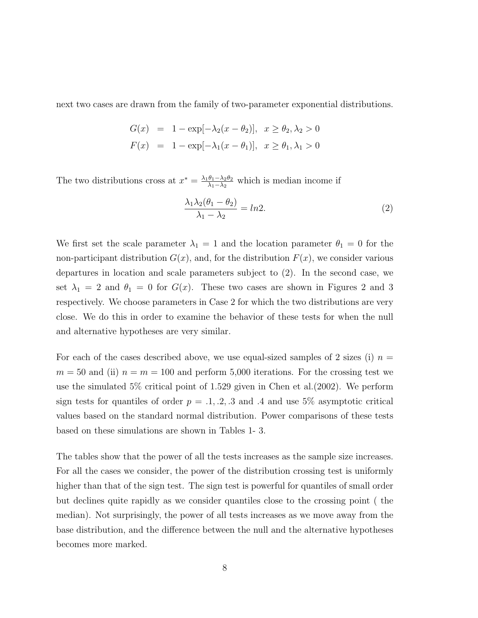next two cases are drawn from the family of two-parameter exponential distributions.

$$
G(x) = 1 - \exp[-\lambda_2(x - \theta_2)], \quad x \ge \theta_2, \lambda_2 > 0
$$
  

$$
F(x) = 1 - \exp[-\lambda_1(x - \theta_1)], \quad x \ge \theta_1, \lambda_1 > 0
$$

The two distributions cross at  $x^* = \frac{\lambda_1 \theta_1 - \lambda_2 \theta_2}{\lambda_1 - \lambda_2}$  $\frac{\theta_1 - \lambda_2 \theta_2}{\lambda_1 - \lambda_2}$  which is median income if

$$
\frac{\lambda_1 \lambda_2 (\theta_1 - \theta_2)}{\lambda_1 - \lambda_2} = \ln 2. \tag{2}
$$

We first set the scale parameter  $\lambda_1 = 1$  and the location parameter  $\theta_1 = 0$  for the non-participant distribution  $G(x)$ , and, for the distribution  $F(x)$ , we consider various departures in location and scale parameters subject to (2). In the second case, we set  $\lambda_1 = 2$  and  $\theta_1 = 0$  for  $G(x)$ . These two cases are shown in Figures 2 and 3 respectively. We choose parameters in Case 2 for which the two distributions are very close. We do this in order to examine the behavior of these tests for when the null and alternative hypotheses are very similar.

For each of the cases described above, we use equal-sized samples of 2 sizes (i)  $n =$  $m = 50$  and (ii)  $n = m = 100$  and perform 5,000 iterations. For the crossing test we use the simulated 5% critical point of 1.529 given in Chen et al.(2002). We perform sign tests for quantiles of order  $p = .1, .2, .3$  and  $.4$  and use 5% asymptotic critical values based on the standard normal distribution. Power comparisons of these tests based on these simulations are shown in Tables 1- 3.

The tables show that the power of all the tests increases as the sample size increases. For all the cases we consider, the power of the distribution crossing test is uniformly higher than that of the sign test. The sign test is powerful for quantiles of small order but declines quite rapidly as we consider quantiles close to the crossing point ( the median). Not surprisingly, the power of all tests increases as we move away from the base distribution, and the difference between the null and the alternative hypotheses becomes more marked.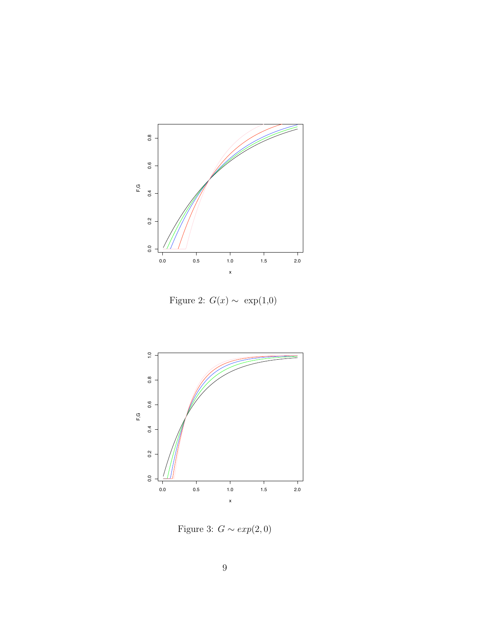

Figure 2:  $G(x) \sim \exp(1,0)$ 



Figure 3:  $G \sim exp(2, 0)$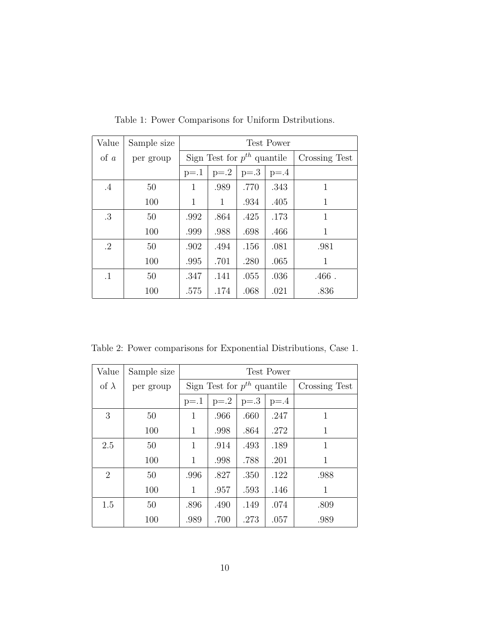| Value     | Sample size | <b>Test Power</b>               |              |        |               |          |
|-----------|-------------|---------------------------------|--------------|--------|---------------|----------|
| $\alpha$  | per group   | Sign Test for $p^{th}$ quantile |              |        | Crossing Test |          |
|           |             | $p=1$                           | $p=2$        | $p=.3$ | $p = 0.4$     |          |
| $.4\,$    | 50          | $\mathbf{1}$                    | .989         | .770   | .343          | 1        |
|           | 100         | 1                               | $\mathbf{1}$ | .934   | .405          | 1        |
| .3        | 50          | .992                            | .864         | .425   | .173          | 1        |
|           | 100         | .999                            | .988         | .698   | .466          | 1        |
| $\cdot$ 2 | 50          | .902                            | .494         | .156   | .081          | .981     |
|           | 100         | .995                            | .701         | .280   | .065          | 1        |
| $\cdot$ 1 | 50          | .347                            | .141         | .055   | .036          | $.466$ . |
|           | 100         | .575                            | .174         | .068   | .021          | .836     |

Table 1: Power Comparisons for Uniform Dstributions.

Table 2: Power comparisons for Exponential Distributions, Case 1.

| Value          | Sample size | <b>Test Power</b>               |        |        |               |      |
|----------------|-------------|---------------------------------|--------|--------|---------------|------|
| of $\lambda$   | per group   | Sign Test for $p^{th}$ quantile |        |        | Crossing Test |      |
|                |             | $p=1$                           | $p=.2$ | $p=.3$ | $p=0.4$       |      |
| 3              | 50          | 1                               | .966   | .660   | .247          | 1    |
|                | 100         | 1                               | .998   | .864   | .272          | 1    |
| 2.5            | 50          | 1                               | .914   | .493   | .189          | 1    |
|                | 100         | 1                               | .998   | .788   | .201          | 1    |
| $\overline{2}$ | 50          | .996                            | .827   | .350   | .122          | .988 |
|                | 100         | 1                               | .957   | .593   | .146          | 1    |
| 1.5            | 50          | .896                            | .490   | .149   | .074          | .809 |
|                | 100         | .989                            | .700   | .273   | .057          | .989 |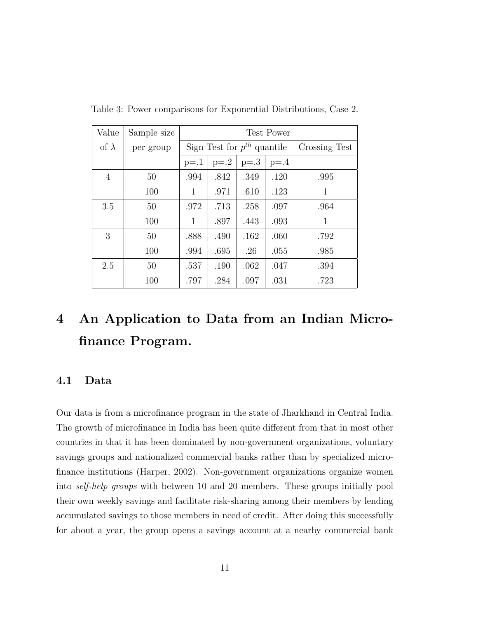| Value          | Sample size | <b>Test Power</b>               |        |        |               |              |
|----------------|-------------|---------------------------------|--------|--------|---------------|--------------|
| of $\lambda$   | per group   | Sign Test for $p^{th}$ quantile |        |        | Crossing Test |              |
|                |             | $p=1$                           | $p=.2$ | $p=.3$ | $p = 0.4$     |              |
| $\overline{4}$ | 50          | .994                            | .842   | .349   | .120          | .995         |
|                | 100         | 1                               | .971   | .610   | .123          | 1            |
| 3.5            | 50          | .972                            | .713   | .258   | .097          | .964         |
|                | 100         | $\mathbf{1}$                    | .897   | .443   | .093          | $\mathbf{1}$ |
| 3              | 50          | .888                            | .490   | .162   | .060          | .792         |
|                | 100         | .994                            | .695   | .26    | .055          | .985         |
| 2.5            | 50          | .537                            | .190   | .062   | .047          | .394         |
|                | 100         | .797                            | .284   | .097   | .031          | .723         |

Table 3: Power comparisons for Exponential Distributions, Case 2.

# 4 An Application to Data from an Indian Microfinance Program.

#### 4.1 Data

Our data is from a microfinance program in the state of Jharkhand in Central India. The growth of microfinance in India has been quite different from that in most other countries in that it has been dominated by non-government organizations, voluntary savings groups and nationalized commercial banks rather than by specialized microfinance institutions (Harper, 2002). Non-government organizations organize women into self-help groups with between 10 and 20 members. These groups initially pool their own weekly savings and facilitate risk-sharing among their members by lending accumulated savings to those members in need of credit. After doing this successfully for about a year, the group opens a savings account at a nearby commercial bank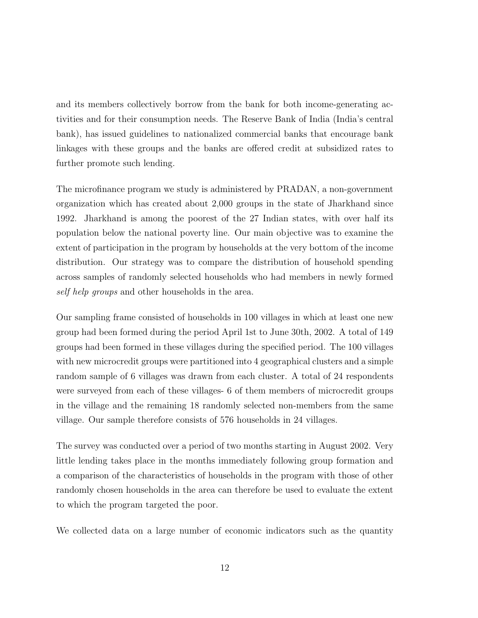and its members collectively borrow from the bank for both income-generating activities and for their consumption needs. The Reserve Bank of India (India's central bank), has issued guidelines to nationalized commercial banks that encourage bank linkages with these groups and the banks are offered credit at subsidized rates to further promote such lending.

The microfinance program we study is administered by PRADAN, a non-government organization which has created about 2,000 groups in the state of Jharkhand since 1992. Jharkhand is among the poorest of the 27 Indian states, with over half its population below the national poverty line. Our main objective was to examine the extent of participation in the program by households at the very bottom of the income distribution. Our strategy was to compare the distribution of household spending across samples of randomly selected households who had members in newly formed self help groups and other households in the area.

Our sampling frame consisted of households in 100 villages in which at least one new group had been formed during the period April 1st to June 30th, 2002. A total of 149 groups had been formed in these villages during the specified period. The 100 villages with new microcredit groups were partitioned into 4 geographical clusters and a simple random sample of 6 villages was drawn from each cluster. A total of 24 respondents were surveyed from each of these villages- 6 of them members of microcredit groups in the village and the remaining 18 randomly selected non-members from the same village. Our sample therefore consists of 576 households in 24 villages.

The survey was conducted over a period of two months starting in August 2002. Very little lending takes place in the months immediately following group formation and a comparison of the characteristics of households in the program with those of other randomly chosen households in the area can therefore be used to evaluate the extent to which the program targeted the poor.

We collected data on a large number of economic indicators such as the quantity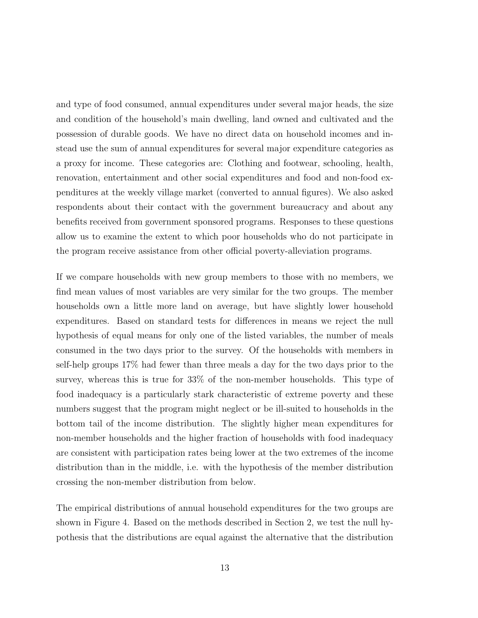and type of food consumed, annual expenditures under several major heads, the size and condition of the household's main dwelling, land owned and cultivated and the possession of durable goods. We have no direct data on household incomes and instead use the sum of annual expenditures for several major expenditure categories as a proxy for income. These categories are: Clothing and footwear, schooling, health, renovation, entertainment and other social expenditures and food and non-food expenditures at the weekly village market (converted to annual figures). We also asked respondents about their contact with the government bureaucracy and about any benefits received from government sponsored programs. Responses to these questions allow us to examine the extent to which poor households who do not participate in the program receive assistance from other official poverty-alleviation programs.

If we compare households with new group members to those with no members, we find mean values of most variables are very similar for the two groups. The member households own a little more land on average, but have slightly lower household expenditures. Based on standard tests for differences in means we reject the null hypothesis of equal means for only one of the listed variables, the number of meals consumed in the two days prior to the survey. Of the households with members in self-help groups 17% had fewer than three meals a day for the two days prior to the survey, whereas this is true for 33% of the non-member households. This type of food inadequacy is a particularly stark characteristic of extreme poverty and these numbers suggest that the program might neglect or be ill-suited to households in the bottom tail of the income distribution. The slightly higher mean expenditures for non-member households and the higher fraction of households with food inadequacy are consistent with participation rates being lower at the two extremes of the income distribution than in the middle, i.e. with the hypothesis of the member distribution crossing the non-member distribution from below.

The empirical distributions of annual household expenditures for the two groups are shown in Figure 4. Based on the methods described in Section 2, we test the null hypothesis that the distributions are equal against the alternative that the distribution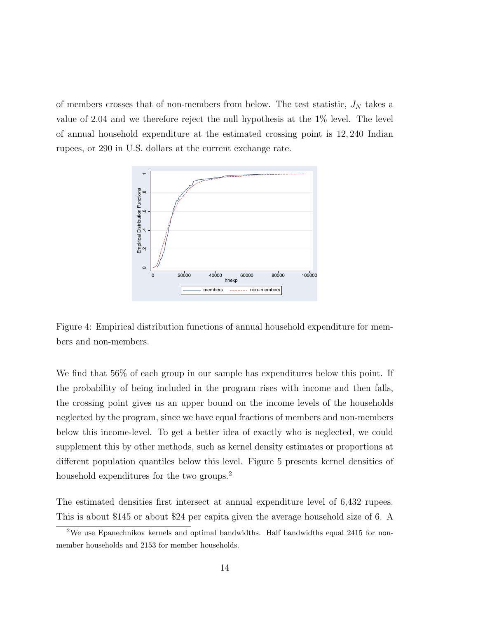of members crosses that of non-members from below. The test statistic,  $J_N$  takes a value of 2.04 and we therefore reject the null hypothesis at the 1% level. The level of annual household expenditure at the estimated crossing point is 12, 240 Indian rupees, or 290 in U.S. dollars at the current exchange rate.



Figure 4: Empirical distribution functions of annual household expenditure for members and non-members.

We find that 56% of each group in our sample has expenditures below this point. If the probability of being included in the program rises with income and then falls, the crossing point gives us an upper bound on the income levels of the households neglected by the program, since we have equal fractions of members and non-members below this income-level. To get a better idea of exactly who is neglected, we could supplement this by other methods, such as kernel density estimates or proportions at different population quantiles below this level. Figure 5 presents kernel densities of household expenditures for the two groups.<sup>2</sup>

The estimated densities first intersect at annual expenditure level of 6,432 rupees. This is about \$145 or about \$24 per capita given the average household size of 6. A

 $2$ We use Epanechnikov kernels and optimal bandwidths. Half bandwidths equal 2415 for nonmember households and 2153 for member households.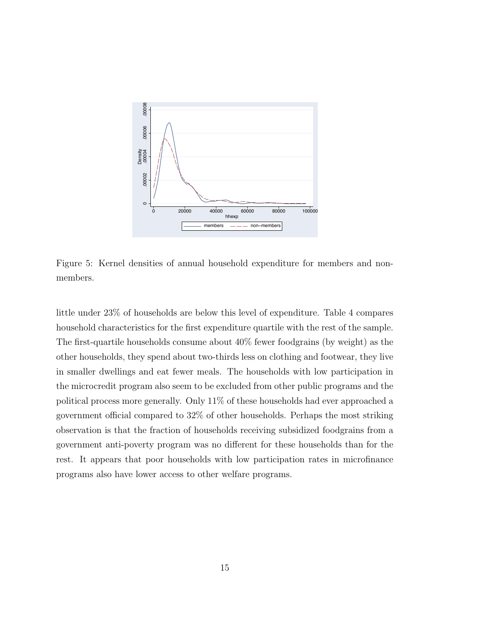

Figure 5: Kernel densities of annual household expenditure for members and nonmembers.

little under 23% of households are below this level of expenditure. Table 4 compares household characteristics for the first expenditure quartile with the rest of the sample. The first-quartile households consume about 40% fewer foodgrains (by weight) as the other households, they spend about two-thirds less on clothing and footwear, they live in smaller dwellings and eat fewer meals. The households with low participation in the microcredit program also seem to be excluded from other public programs and the political process more generally. Only 11% of these households had ever approached a government official compared to 32% of other households. Perhaps the most striking observation is that the fraction of households receiving subsidized foodgrains from a government anti-poverty program was no different for these households than for the rest. It appears that poor households with low participation rates in microfinance programs also have lower access to other welfare programs.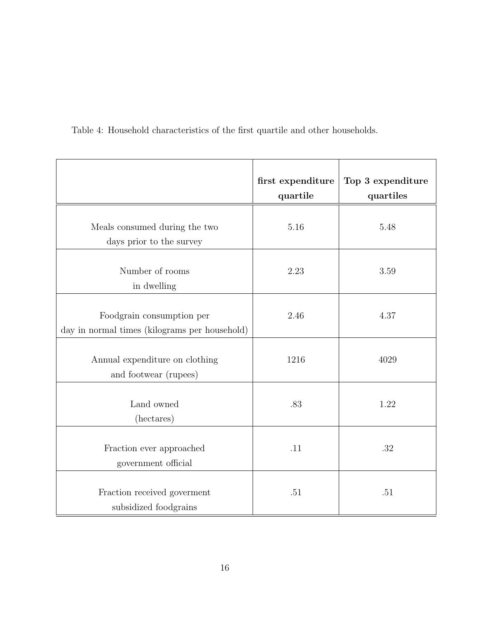|                                                                            | first expenditure<br>quartile | Top 3 expenditure<br>quartiles |
|----------------------------------------------------------------------------|-------------------------------|--------------------------------|
| Meals consumed during the two<br>days prior to the survey                  | 5.16                          | 5.48                           |
| Number of rooms<br>in dwelling                                             | 2.23                          | 3.59                           |
| Foodgrain consumption per<br>day in normal times (kilograms per household) | 2.46                          | 4.37                           |
| Annual expenditure on clothing<br>and footwear (rupees)                    | 1216                          | 4029                           |
| Land owned<br>(hectares)                                                   | .83                           | 1.22                           |
| Fraction ever approached<br>government official                            | .11                           | .32                            |
| Fraction received government<br>subsidized foodgrains                      | .51                           | .51                            |

Table 4: Household characteristics of the first quartile and other households.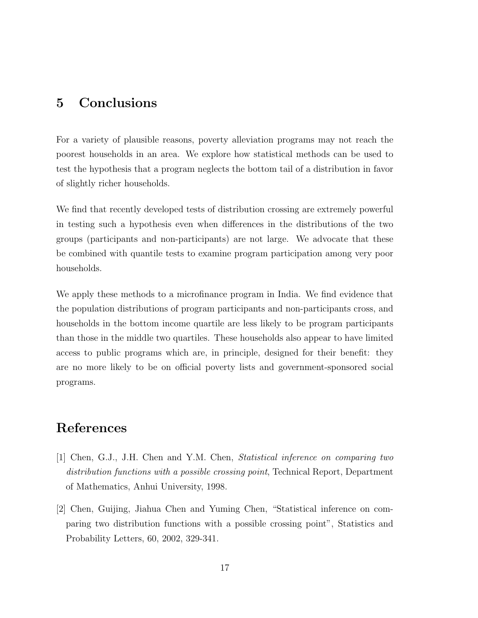## 5 Conclusions

For a variety of plausible reasons, poverty alleviation programs may not reach the poorest households in an area. We explore how statistical methods can be used to test the hypothesis that a program neglects the bottom tail of a distribution in favor of slightly richer households.

We find that recently developed tests of distribution crossing are extremely powerful in testing such a hypothesis even when differences in the distributions of the two groups (participants and non-participants) are not large. We advocate that these be combined with quantile tests to examine program participation among very poor households.

We apply these methods to a microfinance program in India. We find evidence that the population distributions of program participants and non-participants cross, and households in the bottom income quartile are less likely to be program participants than those in the middle two quartiles. These households also appear to have limited access to public programs which are, in principle, designed for their benefit: they are no more likely to be on official poverty lists and government-sponsored social programs.

## References

- [1] Chen, G.J., J.H. Chen and Y.M. Chen, Statistical inference on comparing two distribution functions with a possible crossing point, Technical Report, Department of Mathematics, Anhui University, 1998.
- [2] Chen, Guijing, Jiahua Chen and Yuming Chen, "Statistical inference on comparing two distribution functions with a possible crossing point", Statistics and Probability Letters, 60, 2002, 329-341.